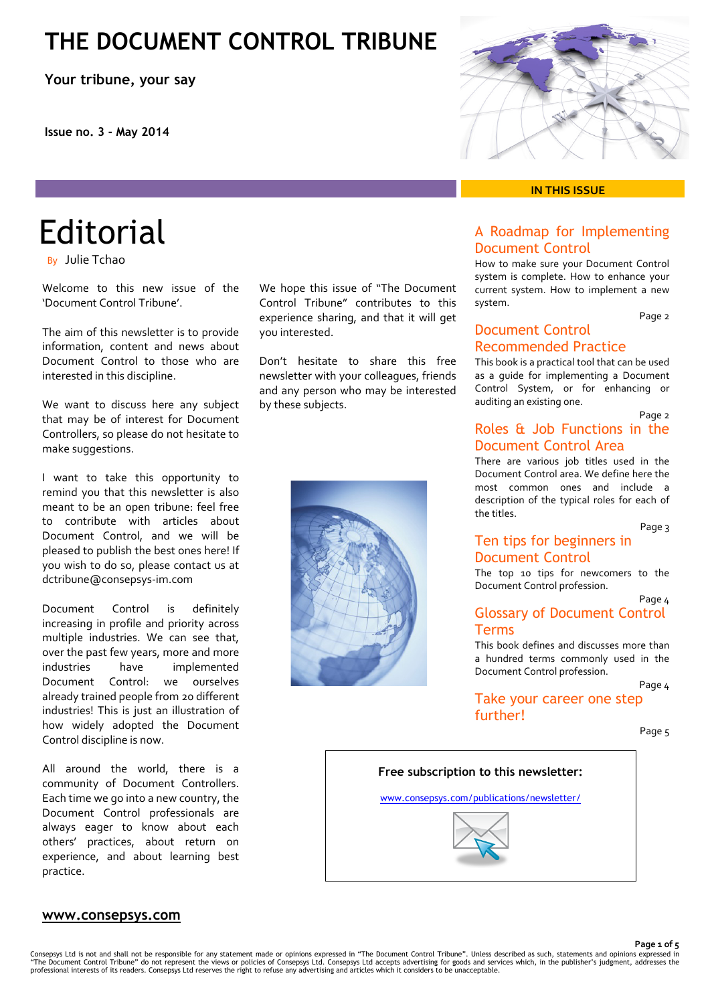## **THE DOCUMENT CONTROL TRIBUNE**

**Your tribune, your say**

**Issue no. 3 - May 2014**

# **Editorial**

By Julie Tchao

Welcome to this new issue of the 'Document Control Tribune'.

The aim of this newsletter is to provide information, content and news about Document Control to those who are interested in this discipline.

We want to discuss here any subject that may be of interest for Document Controllers, so please do not hesitate to make suggestions.

I want to take this opportunity to remind you that this newsletter is also meant to be an open tribune: feel free to contribute with articles about Document Control, and we will be pleased to publish the best ones here! If you wish to do so, please contact us at dctribune@consepsys-im.com

Document Control is definitely increasing in profile and priority across multiple industries. We can see that, over the past few years, more and more industries have implemented Document Control: we ourselves already trained people from 20 different industries! This is just an illustration of how widely adopted the Document Control discipline is now.

All around the world, there is a community of Document Controllers. Each time we go into a new country, the Document Control professionals are always eager to know about each others' practices, about return on experience, and about learning best practice.

We hope this issue of "The Document Control Tribune" contributes to this experience sharing, and that it will get you interested.

Don't hesitate to share this free newsletter with your colleagues, friends and any person who may be interested by these subjects.





#### **IN THIS ISSUE**

#### A Roadmap for Implementing Document Control

How to make sure your Document Control system is complete. How to enhance your current system. How to implement a new system.

Page 2

### Document Control Recommended Practice

This book is a practical tool that can be used as a guide for implementing a Document Control System, or for enhancing or auditing an existing one.

#### Page 2 Roles & Job Functions in the Document Control Area

There are various job titles used in the Document Control area. We define here the most common ones and include a description of the typical roles for each of the titles.

Page 3

### Ten tips for beginners in Document Control

The top 10 tips for newcomers to the Document Control profession.

Page 4

### Glossary of Document Control Terms

This book defines and discusses more than a hundred terms commonly used in the Document Control profession.

Page 4 Take your career one step

further!

Page 5



#### **www.consepsys.com**

**Page 1 of 5**

Consepsys Ltd is not and shall not be responsible for any statement made or opinions expressed in "The Document Control Tribune". Unless described as such, statements and opinions expressed in<br>"The Document Control Tribune professional interests of its readers. Consepsys Ltd reserves the right to refuse any advertising and articles which it considers to be unacceptable.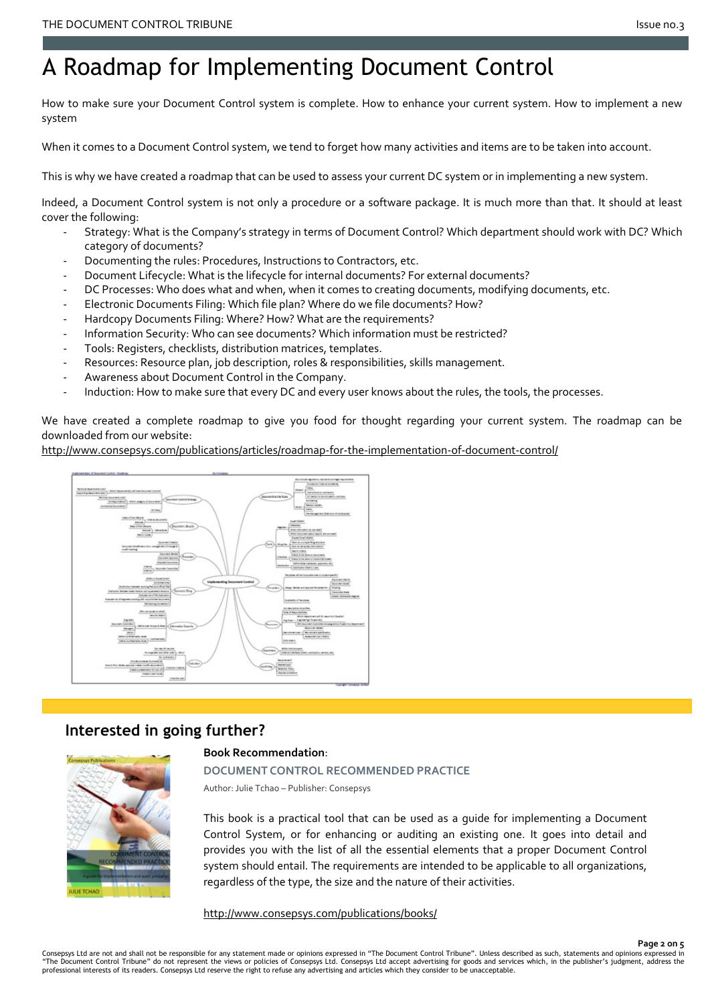## A Roadmap for Implementing Document Control

How to make sure your Document Control system is complete. How to enhance your current system. How to implement a new system

When it comes to a Document Control system, we tend to forget how many activities and items are to be taken into account.

This is why we have created a roadmap that can be used to assess your current DC system or in implementing a new system.

Indeed, a Document Control system is not only a procedure or a software package. It is much more than that. It should at least cover the following:

- Strategy: What is the Company's strategy in terms of Document Control? Which department should work with DC? Which category of documents?
- Documenting the rules: Procedures, Instructions to Contractors, etc.
- Document Lifecycle: What is the lifecycle for internal documents? For external documents?
- DC Processes: Who does what and when, when it comes to creating documents, modifying documents, etc.
- Electronic Documents Filing: Which file plan? Where do we file documents? How?
- Hardcopy Documents Filing: Where? How? What are the requirements?
- Information Security: Who can see documents? Which information must be restricted?
- Tools: Registers, checklists, distribution matrices, templates.
- Resources: Resource plan, job description, roles & responsibilities, skills management.
- Awareness about Document Control in the Company.
- Induction: How to make sure that every DC and every user knows about the rules, the tools, the processes.

We have created a complete roadmap to give you food for thought regarding your current system. The roadmap can be downloaded from our website:

<http://www.consepsys.com/publications/articles/roadmap-for-the-implementation-of-document-control/>



## **Interested in going further?**

#### **Book Recommendation**:

**DOCUMENT CONTROL RECOMMENDED PRACTICE**

Author: Julie Tchao – Publisher: Consepsys

This book is a practical tool that can be used as a guide for implementing a Document Control System, or for enhancing or auditing an existing one. It goes into detail and provides you with the list of all the essential elements that a proper Document Control system should entail. The requirements are intended to be applicable to all organizations, regardless of the type, the size and the nature of their activities.

<http://www.consepsys.com/publications/books/>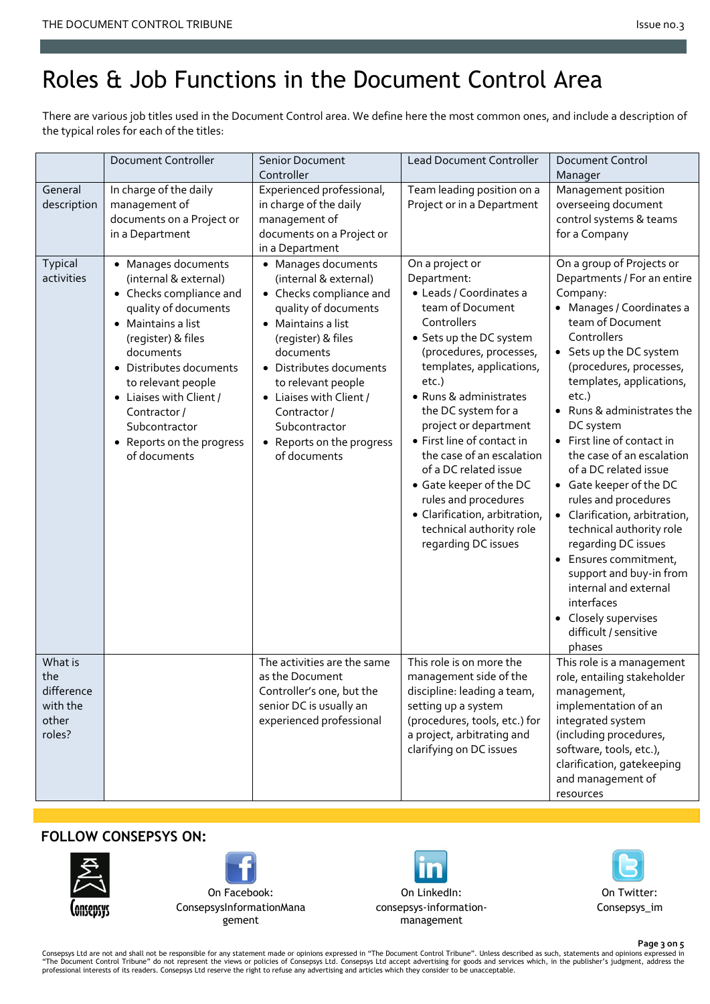# Roles & Job Functions in the Document Control Area

There are various job titles used in the Document Control area. We define here the most common ones, and include a description of the typical roles for each of the titles:

|                                                             | Document Controller                                                                                                                                                                                                                                                                                               | <b>Senior Document</b><br>Controller                                                                                                                                                                                                                                                                              | <b>Lead Document Controller</b>                                                                                                                                                                                                                                                                                                                                                                                                                                                              | <b>Document Control</b><br>Manager                                                                                                                                                                                                                                                                                                                                                                                                                                                                                                                                                                                                                          |
|-------------------------------------------------------------|-------------------------------------------------------------------------------------------------------------------------------------------------------------------------------------------------------------------------------------------------------------------------------------------------------------------|-------------------------------------------------------------------------------------------------------------------------------------------------------------------------------------------------------------------------------------------------------------------------------------------------------------------|----------------------------------------------------------------------------------------------------------------------------------------------------------------------------------------------------------------------------------------------------------------------------------------------------------------------------------------------------------------------------------------------------------------------------------------------------------------------------------------------|-------------------------------------------------------------------------------------------------------------------------------------------------------------------------------------------------------------------------------------------------------------------------------------------------------------------------------------------------------------------------------------------------------------------------------------------------------------------------------------------------------------------------------------------------------------------------------------------------------------------------------------------------------------|
| General<br>description                                      | In charge of the daily<br>management of<br>documents on a Project or<br>in a Department                                                                                                                                                                                                                           | Experienced professional,<br>in charge of the daily<br>management of<br>documents on a Project or<br>in a Department                                                                                                                                                                                              | Team leading position on a<br>Project or in a Department                                                                                                                                                                                                                                                                                                                                                                                                                                     | Management position<br>overseeing document<br>control systems & teams<br>for a Company                                                                                                                                                                                                                                                                                                                                                                                                                                                                                                                                                                      |
| Typical<br>activities                                       | • Manages documents<br>(internal & external)<br>• Checks compliance and<br>quality of documents<br>• Maintains a list<br>(register) & files<br>documents<br>• Distributes documents<br>to relevant people<br>• Liaises with Client /<br>Contractor/<br>Subcontractor<br>• Reports on the progress<br>of documents | • Manages documents<br>(internal & external)<br>• Checks compliance and<br>quality of documents<br>• Maintains a list<br>(register) & files<br>documents<br>• Distributes documents<br>to relevant people<br>• Liaises with Client /<br>Contractor/<br>Subcontractor<br>• Reports on the progress<br>of documents | On a project or<br>Department:<br>· Leads / Coordinates a<br>team of Document<br>Controllers<br>• Sets up the DC system<br>(procedures, processes,<br>templates, applications,<br>etc.)<br>· Runs & administrates<br>the DC system for a<br>project or department<br>• First line of contact in<br>the case of an escalation<br>of a DC related issue<br>• Gate keeper of the DC<br>rules and procedures<br>· Clarification, arbitration,<br>technical authority role<br>regarding DC issues | On a group of Projects or<br>Departments / For an entire<br>Company:<br>• Manages / Coordinates a<br>team of Document<br>Controllers<br>• Sets up the DC system<br>(procedures, processes,<br>templates, applications,<br>etc.)<br>• Runs & administrates the<br>DC system<br>• First line of contact in<br>the case of an escalation<br>of a DC related issue<br>• Gate keeper of the DC<br>rules and procedures<br>• Clarification, arbitration,<br>technical authority role<br>regarding DC issues<br>• Ensures commitment,<br>support and buy-in from<br>internal and external<br>interfaces<br>• Closely supervises<br>difficult / sensitive<br>phases |
| What is<br>the<br>difference<br>with the<br>other<br>roles? |                                                                                                                                                                                                                                                                                                                   | The activities are the same<br>as the Document<br>Controller's one, but the<br>senior DC is usually an<br>experienced professional                                                                                                                                                                                | This role is on more the<br>management side of the<br>discipline: leading a team,<br>setting up a system<br>(procedures, tools, etc.) for<br>a project, arbitrating and<br>clarifying on DC issues                                                                                                                                                                                                                                                                                           | This role is a management<br>role, entailing stakeholder<br>management,<br>implementation of an<br>integrated system<br>(including procedures,<br>software, tools, etc.),<br>clarification, gatekeeping<br>and management of<br>resources                                                                                                                                                                                                                                                                                                                                                                                                                   |

### **FOLLOW CONSEPSYS ON:**





On LinkedIn: [consepsys-information](http://www.linkedin.com/company/consepsys-information-management)[management](http://www.linkedin.com/company/consepsys-information-management)



**Page 3 on 5** Consepsys Ltd are not and shall not be responsible for any statement made or opinions expressed in "The Document Control Tribune". Unless described as such, statements and opinions expressed in<br>"The Document Control Tribun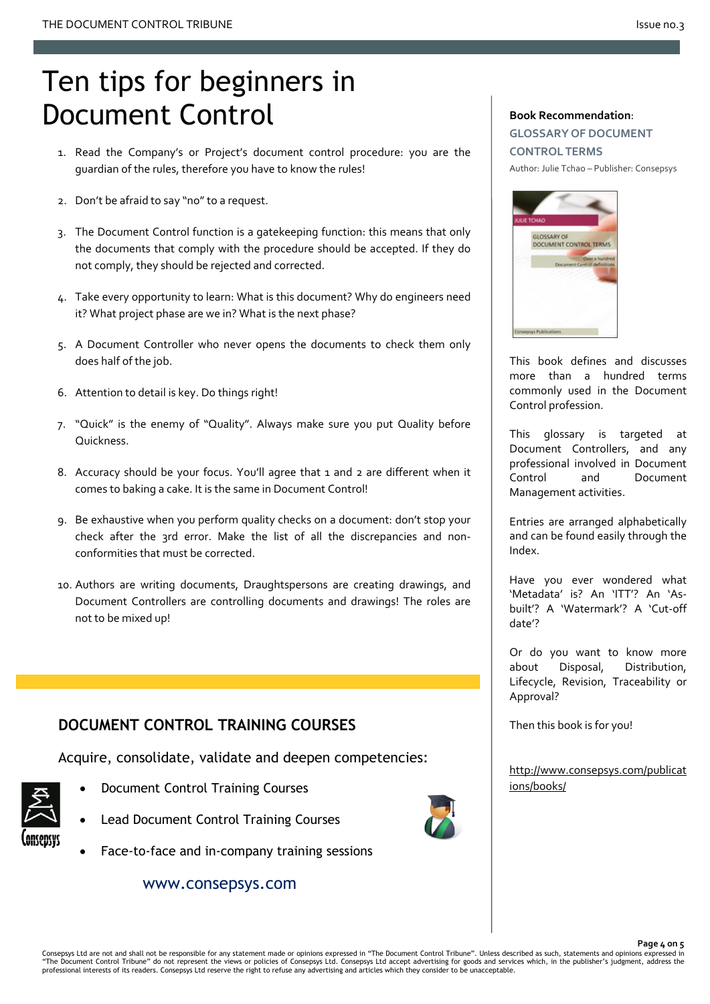# Ten tips for beginners in Document Control

- 1. Read the Company's or Project's document control procedure: you are the guardian of the rules, therefore you have to know the rules!
- 2. Don't be afraid to say "no" to a request.
- 3. The Document Control function is a gatekeeping function: this means that only the documents that comply with the procedure should be accepted. If they do not comply, they should be rejected and corrected.
- 4. Take every opportunity to learn: What is this document? Why do engineers need it? What project phase are we in? What is the next phase?
- 5. A Document Controller who never opens the documents to check them only does half of the job.
- 6. Attention to detail is key. Do things right!
- 7. "Quick" is the enemy of "Quality". Always make sure you put Quality before Quickness.
- 8. Accuracy should be your focus. You'll agree that 1 and 2 are different when it comes to baking a cake. It is the same in Document Control!
- 9. Be exhaustive when you perform quality checks on a document: don't stop your check after the 3rd error. Make the list of all the discrepancies and nonconformities that must be corrected.
- 10. Authors are writing documents, Draughtspersons are creating drawings, and Document Controllers are controlling documents and drawings! The roles are not to be mixed up!

## **DOCUMENT CONTROL TRAINING COURSES**

Acquire, consolidate, validate and deepen competencies:

- Document Control Training Courses
- Lead Document Control Training Courses
	- Face-to-face and in-company training sessions

www.consepsys.com

#### **Book Recommendation**:

**GLOSSARY OF DOCUMENT CONTROL TERMS** Author: Julie Tchao – Publisher: Consepsys



This book defines and discusses more than a hundred terms commonly used in the Document Control profession.

This glossary is targeted at Document Controllers, and any professional involved in Document Control and Document Management activities.

Entries are arranged alphabetically and can be found easily through the Index.

Have you ever wondered what 'Metadata' is? An 'ITT'? An 'Asbuilt'? A 'Watermark'? A 'Cut-off date'?

Or do you want to know more about Disposal, Distribution, Lifecycle, Revision, Traceability or Approval?

Then this book is for you!

[http://www.consepsys.com/publicat](http://www.consepsys.com/publications/books/) [ions/books/](http://www.consepsys.com/publications/books/)